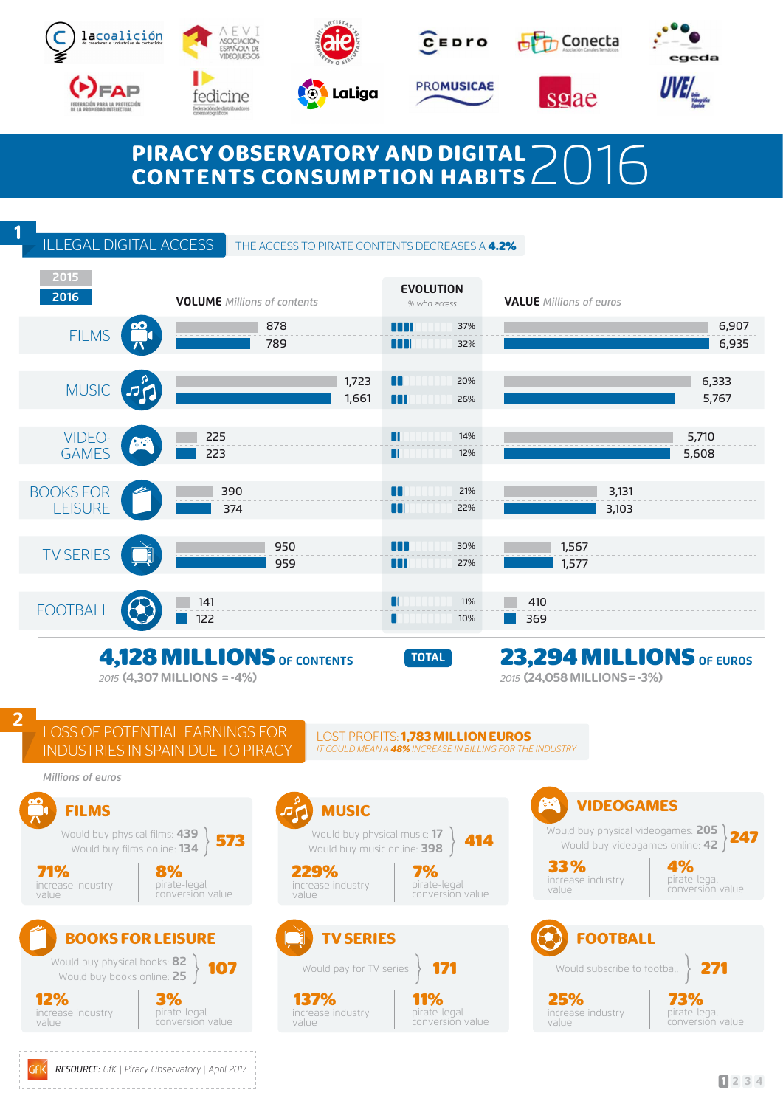





LaLiga



**PROMUSICAE** 



sgae





# PIRACY OBSERVATORY AND DIGITAL  $\geq$  2016<br>CONTENTS CONSUMPTION HABITS 2016

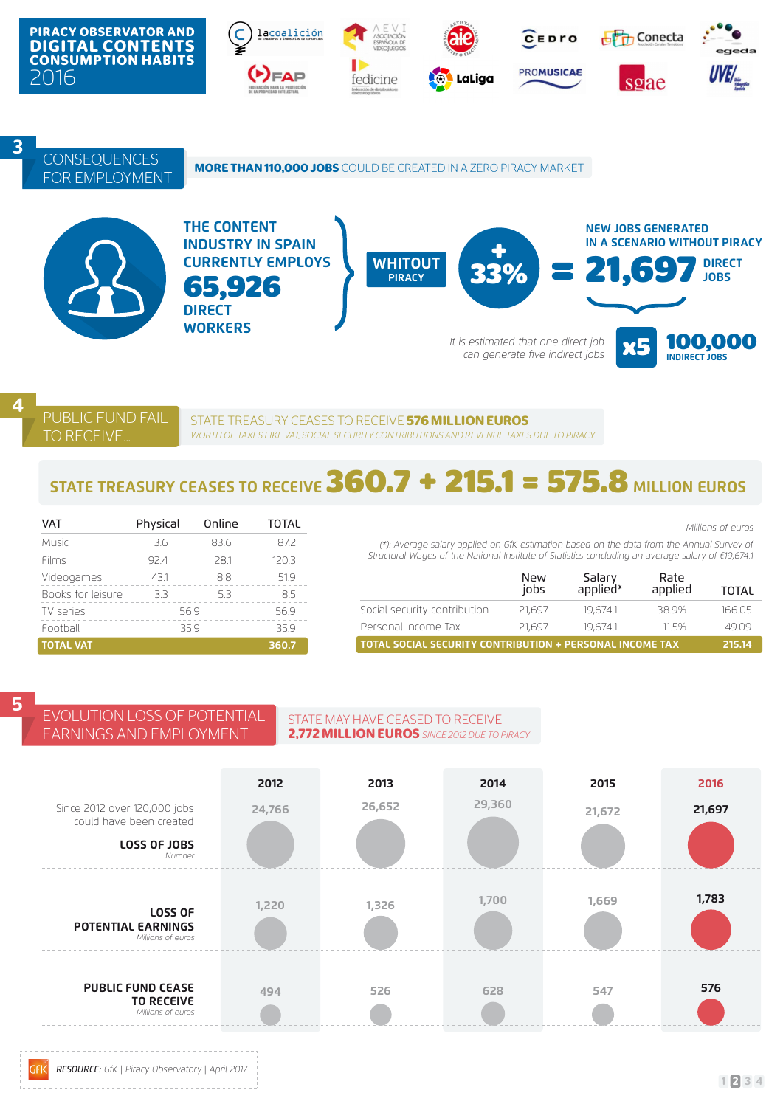

4 PUBLIC FUND FAIL **TO RECEIVE** 

STATE TREASURY CEASES TO RECEIVE **576 MILLION EUROS** *WORTH OF TAXES LIKE VAT, SOCIAL SECURITY CONTRIBUTIONS AND REVENUE TAXES DUE TO PIRACY* 

# **STATE TREASURY CEASES TO RECEIVE 360.7 + 215.1 = 575.8 MILLION EUROS**

| <b>VAT</b>        | Physical | Online | <b>TOTAL</b> |
|-------------------|----------|--------|--------------|
| Music             | 3.6      | 83.6   | 87.2         |
| Films             | 92.4     | 28.1   | 120.3        |
| Videogames        | 43.1     | 8.8    | 519          |
| Books for leisure | 3.3      | 53     | 85           |
| TV series         | 569      |        | 56.9         |
| Football          | 35.9     | 359    |              |
| <b>TOTAL VAT</b>  |          |        | 360.7        |

EARNINGS AND EMPLOYMENT

|  | the Annual Survey of |  |
|--|----------------------|--|

*Millions of euros*

*(\*): Average salary applied on GfK estimation based on the data from the Structural Wages of the National Institute of Statistics concluding an average salary of €19,674.1*

|                                                          | New<br>iobs | Salary<br>*applied | Rate<br>applied | TOTAL  |
|----------------------------------------------------------|-------------|--------------------|-----------------|--------|
| Social security contribution                             | 21,697      | 19.674.1           | 38.9%           | 166.05 |
| Personal Income Tax                                      | 21,697      | 19.674.1           | 115%            | 49.09  |
| TOTAL SOCIAL SECURITY CONTRIBUTION + PERSONAL INCOME TAX |             |                    |                 | 215.14 |

**5** EVOLUTION LOSS OF POTENTIAL

GFK

### STATE MAY HAVE CEASED TO RECEIVE **2,772 MILLION EUROS** *SINCE 2012 DUE TO PIRACY*

| Since 2012 over 120,000 jobs<br>could have been created<br><b>LOSS OF JOBS</b><br>Number | 2012<br>24,766 | 2013<br>26,652 | 2014<br>29,360 | 2015<br>21,672 | 2016<br>21,697 |
|------------------------------------------------------------------------------------------|----------------|----------------|----------------|----------------|----------------|
| <b>LOSS OF</b><br><b>POTENTIAL EARNINGS</b><br>Millions of euros                         | 1,220          | 1,326          | 1,700          | 1,669          | 1,783          |
| <b>PUBLIC FUND CEASE</b><br><b>TO RECEIVE</b><br>Millions of euros                       | 494            | 526            | 628            | 547            | 576            |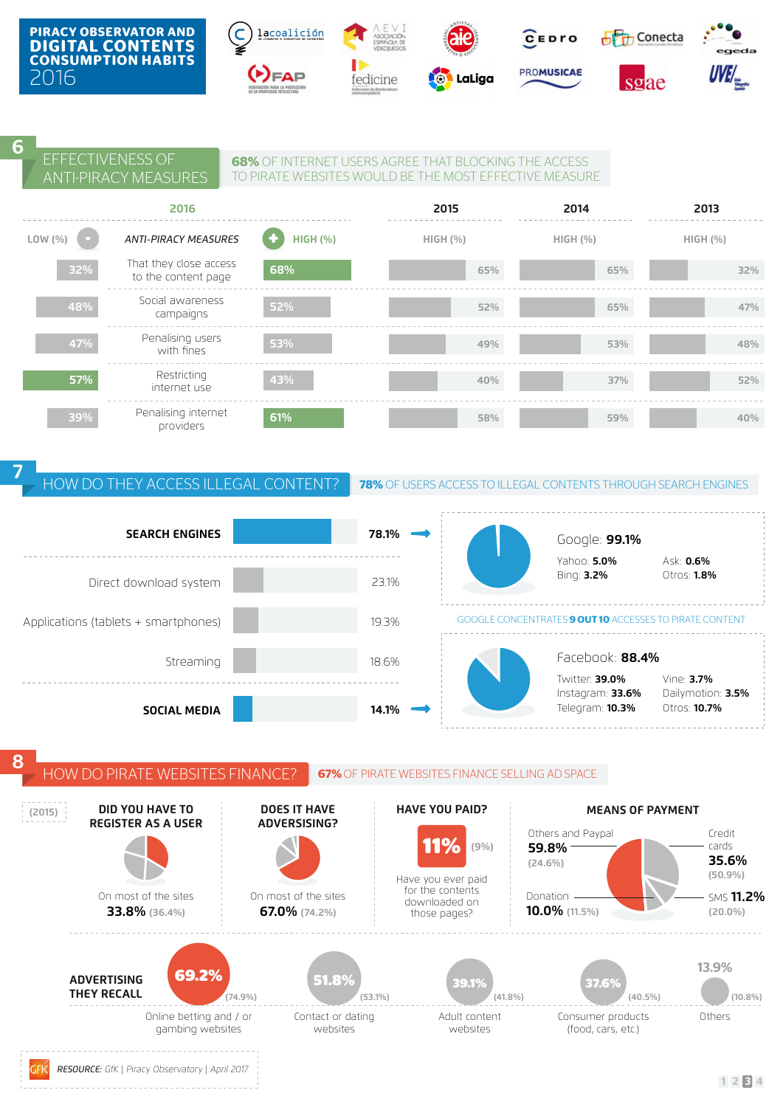